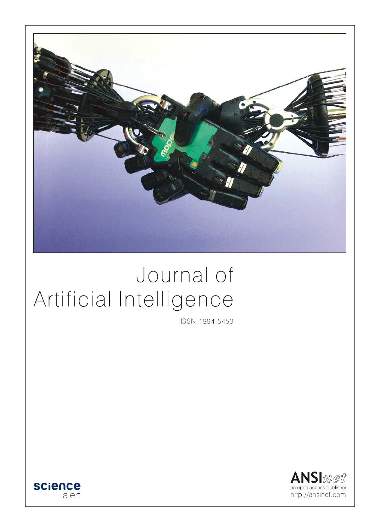

# Journal of Artificial Intelligence

ISSN 1994-5450



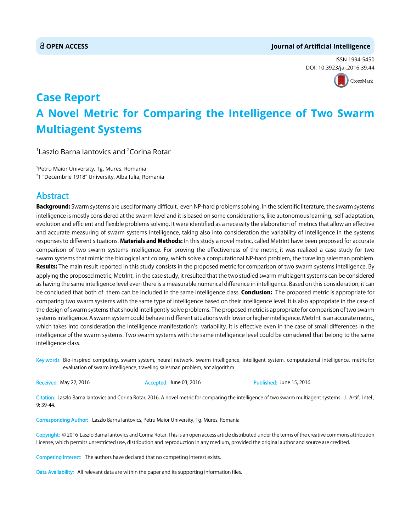#### **OPEN ACCESS Journal of Artificial Intelligence**

ISSN 1994-5450 DOI: 10.3[923/jai.2016.39.44](http://crossmark.crossref.org/dialog/?doi=10.3923/jai.2016.39.44&domain=pdf&date_stamp=2016-06-15)



## **Case Report A Novel Metric for Comparing the Intelligence of Two Swarm Multiagent Systems**

 $^{\rm 1}$ Laszlo Barna lantovics and  $^{\rm 2}$ Corina Rotar

1 Petru Maior University, Tg. Mures, Romania 2 1 "Decembrie 1918'' University, Alba Iulia, Romania

### Abstract

Background: Swarm systems are used for many difficult, even NP-hard problems solving. In the scientific literature, the swarm systems intelligence is mostly considered at the swarm level and it is based on some considerations, like autonomous learning, self-adaptation, evolution and efficient and flexible problems solving. It were identified as a necessity the elaboration of metrics that allow an effective and accurate measuring of swarm systems intelligence, taking also into consideration the variability of intelligence in the systems responses to different situations. Materials and Methods: In this study a novel metric, called MetrInt have been proposed for accurate comparison of two swarm systems intelligence. For proving the effectiveness of the metric, it was realized a case study for two swarm systems that mimic the biological ant colony, which solve a computational NP-hard problem, the traveling salesman problem. Results: The main result reported in this study consists in the proposed metric for comparison of two swarm systems intelligence. By applying the proposed metric, MetrInt, in the case study, it resulted that the two studied swarm multiagent systems can be considered as having the same intelligence level even there is a measurable numerical difference in intelligence. Based on this consideration, it can be concluded that both of them can be included in the same intelligence class. Conclusion: The proposed metric is appropriate for comparing two swarm systems with the same type of intelligence based on their intelligence level. It is also appropriate in the case of the design of swarm systems that should intelligently solve problems. The proposed metric is appropriate for comparison of two swarm systems intelligence. A swarm system could behave in different situations with lower or higher intelligence. MetrInt is an accurate metric, which takes into consideration the intelligence manifestation's variability. It is effective even in the case of small differences in the intelligence of the swarm systems. Two swarm systems with the same intelligence level could be considered that belong to the same intelligence class.

Key words: Bio-inspired computing, swarm system, neural network, swarm intelligence, intelligent system, computational intelligence, metric for evaluation of swarm intelligence, traveling salesman problem, ant algorithm

Received: May 22, 2016 **Accepted: June 03, 2016** Published: June 15, 2016

Citation: Laszlo Barna Iantovics and Corina Rotar, 2016. A novel metric for comparing the intelligence of two swarm multiagent systems. J. Artif. Intel., 9: 39-44.

Corresponding Author: Laszlo Barna Iantovics, Petru Maior University, Tg. Mures, Romania

Copyright: © 2016 Laszlo Barna Iantovics and Corina Rotar. This is an open access article distributed under the terms of the creative commons attribution License, which permits unrestricted use, distribution and reproduction in any medium, provided the original author and source are credited.

Competing Interest: The authors have declared that no competing interest exists.

Data Availability: All relevant data are within the paper and its supporting information files.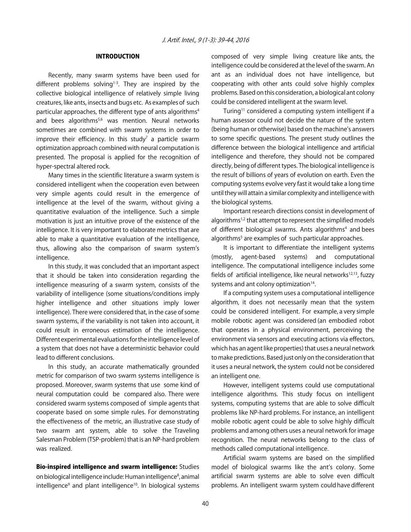#### INTRODUCTION

Recently, many swarm systems have been used for different problems solving $1-3$ . They are inspired by the collective biological intelligence of relatively simple living creatures, like ants, insects and bugs etc. As examples of such particular approaches, the different type of ants algorithms<sup>4</sup> and bees algorithms $5,6$  was mention. Neural networks sometimes are combined with swarm systems in order to improve their efficiency. In this study<sup>7</sup> a particle swarm optimization approach combined with neural computation is presented. The proposal is applied for the recognition of hyper-spectral altered rock.

Many times in the scientific literature a swarm system is considered intelligent when the cooperation even between very simple agents could result in the emergence of intelligence at the level of the swarm, without giving a quantitative evaluation of the intelligence. Such a simple motivation is just an intuitive prove of the existence of the intelligence. It is very important to elaborate metrics that are able to make a quantitative evaluation of the intelligence, thus, allowing also the comparison of swarm system's intelligence.

In this study, it was concluded that an important aspect that it should be taken into consideration regarding the intelligence measuring of a swarm system, consists of the variability of intelligence (some situations/conditions imply higher intelligence and other situations imply lower intelligence). There were considered that, in the case of some swarm systems, if the variability is not taken into account, it could result in erroneous estimation of the intelligence. Different experimental evaluations for the intelligence level of a system that does not have a deterministic behavior could lead to different conclusions.

In this study, an accurate mathematically grounded metric for comparison of two swarm systems intelligence is proposed. Moreover, swarm systems that use some kind of neural computation could be compared also. There were considered swarm systems composed of simple agents that cooperate based on some simple rules. For demonstrating the effectiveness of the metric, an illustrative case study of two swarm ant system, able to solve the Traveling Salesman Problem (TSP-problem) that is an NP-hard problem was realized.

Bio-inspired intelligence and swarm intelligence: Studies on biological intelligence include: Human intelligence<sup>8</sup>, animal intelligence<sup>9</sup> and plant intelligence<sup>10</sup>. In biological systems

composed of very simple living creature like ants, the intelligence could be considered at the level of the swarm. An ant as an individual does not have intelligence, but cooperating with other ants could solve highly complex problems. Based on this consideration, a biological ant colony could be considered intelligent at the swarm level.

Turing<sup>11</sup> considered a computing system intelligent if a human assessor could not decide the nature of the system (being human or otherwise) based on the machine's answers to some specific questions. The present study outlines the difference between the biological intelligence and artificial intelligence and therefore, they should not be compared directly, being of different types. The biological intelligence is the result of billions of years of evolution on earth. Even the computing systems evolve very fast it would take a long time until they will attain a similar complexity and intelligence with the biological systems.

Important research directions consist in development of algorithms<sup>1,2</sup> that attempt to represent the simplified models of different biological swarms. Ants algorithms<sup>4</sup> and bees algorithms<sup>5</sup> are examples of such particular approaches.

It is important to differentiate the intelligent systems (mostly, agent-based systems) and computational intelligence. The computational intelligence includes some fields of artificial intelligence, like neural networks $12,13$ , fuzzy systems and ant colony optimization $14$ .

If a computing system uses a computational intelligence algorithm, it does not necessarily mean that the system could be considered intelligent. For example, a very simple mobile robotic agent was considered (an embodied robot that operates in a physical environment, perceiving the environment via sensors and executing actions via effectors, which has an agent like properties) that uses a neural network to make predictions. Based just only on the consideration that it uses a neural network, the system could not be considered an intelligent one.

However, intelligent systems could use computational intelligence algorithms. This study focus on intelligent systems, computing systems that are able to solve difficult problems like NP-hard problems. For instance, an intelligent mobile robotic agent could be able to solve highly difficult problems and among others uses a neural network for image recognition. The neural networks belong to the class of methods called computational intelligence.

Artificial swarm systems are based on the simplified model of biological swarms like the ant's colony. Some artificial swarm systems are able to solve even difficult problems. An intelligent swarm system could have different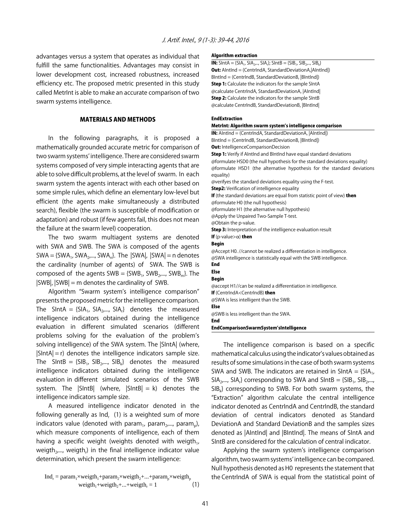advantages versus a system that operates as individual that fulfill the same functionalities. Advantages may consist in lower development cost, increased robustness, increased efficiency etc. The proposed metric presented in this study called MetrInt is able to make an accurate comparison of two swarm systems intelligence.

#### MATERIALS AND METHODS

In the following paragraphs, it is proposed a mathematically grounded accurate metric for comparison of two swarm systems' intelligence. There are considered swarm systems composed of very simple interacting agents that are able to solve difficult problems, at the level of swarm. In each swarm system the agents interact with each other based on some simple rules, which define an elementary low-level but efficient (the agents make simultaneously a distributed search), flexible (the swarm is susceptible of modification or adaptation) and robust (if few agents fail, this does not mean the failure at the swarm level) cooperation.

The two swarm multiagent systems are denoted with SWA and SWB. The SWA is composed of the agents  $SWA = \{SWA_1, SWA_2, \ldots, SWA_n\}$ . The  $|SWA|$ ,  $|SWA| = n$  denotes the cardinality (number of agents) of SWA. The SWB is composed of the agents  $SWB = \{SWB_1, SWB_2, \ldots, SWB_m\}$ . The  $|SWB|$ ,  $|SWB|$  = m denotes the cardinality of SWB.

Algorithm "Swarm system's intelligence comparison" presents the proposed metric for the intelligence comparison. The SIntA =  $\{SIA_1, SIA_2,..., SIA_r\}$  denotes the measured intelligence indicators obtained during the intelligence evaluation in different simulated scenarios (different problems solving for the evaluation of the problem's solving intelligence) of the SWA system. The |SIntA| (where,  $|SintA| = r$ ) denotes the intelligence indicators sample size. The SIntB =  ${SIB_1, SIB_2,..., SIB_k}$  denotes the measured intelligence indicators obtained during the intelligence evaluation in different simulated scenarios of the SWB system. The  $|S|$  (where,  $|S|$  = k) denotes the intelligence indicators sample size.

A measured intelligence indicator denoted in the following generally as  $Ind<sub>r</sub>$  (1) is a weighted sum of more indicators value (denoted with param<sub>1</sub>, param<sub>2</sub>,..., param<sub>n</sub>), which measure components of intelligence, each of them having a specific weight (weights denoted with weigth $_1$ , weigth<sub>2</sub>,..., weigth<sub>i</sub>) in the final intelligence indicator value determination, which present the swarm intelligence:

$$
Indr = param1 \times weight1 + param2 \times weight2 + ... + paramp \times weightp
$$
  
weight<sub>1</sub> + weight<sub>2</sub> + ... + weight<sub>r</sub> = 1 (1)

#### Algorithm extraction

**IN:** SIntA = {SIA<sub>1</sub>, SIA<sub>2</sub>,.., SIA<sub>1</sub>}; SIntB = {SIB<sub>1</sub>, SIB<sub>2</sub>,.., SIB<sub>k</sub>} Out: AIntInd = (CentrIndA, StandardDeviationA,|AIntInd|) BIntInd = (CentrIndB, StandardDeviationB, |BIntInd|) Step 1: Calculate the indicators for the sample SIntA @calculate CentrIndA, StandardDeviationA, |AIntInd| **Step 2:** Calculate the indicators for the sample SIntB @calculate CentrIndB, StandardDeviationB, |BIntInd|

#### EndExtraction

#### MetrInt: Algorithm swarm system's intelligence comparison

IN: AIntInd = (CentrIndA, StandardDeviationA, |AIntInd|) BIntInd = (CentrIndB, StandardDeviationB, |BIntInd|) **Out:** IntelligenceComparisonDecision **Step 1:** Verify if AIntInd and BIntInd have equal standard deviations @formulate HSD0 (the null hypothesis for the standard deviations equality) @formulate HSD1 (the alternative hypothesis for the standard deviations equality) @verifyes the standard deviations equality using the F-test. **Step2:** Verification of intelligence equality If (the standard deviations are equal from statistic point of view) then @formulate H0 (the null hypothesis) @formulate H1 (the alternative null hypothesis) @Apply the Unpaired Two-Sample T-test. @Obtain the p-value. Step 3: Interpretation of the intelligence evaluation result If (p-value> $\alpha$ ) then Begin @Accept H0. //cannot be realized a differentiation in intelligence. @SWA intelligence is statistically equal with the SWB intelligence. End Else Begin @accept H1//can be realized a differentiation in intelligence. If (CentrIndA<CentrIndB) then @SWA is less intelligent than the SWB. Else @SWB is less intelligent than the SWA. End EndComparisonSwarmSystem'sIntelligence

The intelligence comparison is based on a specific mathematical calculus using the indicator's values obtained as results of some simulations in the case of both swarm systems SWA and SWB. The indicators are retained in SIntA =  ${SIA<sub>1</sub>$ ,  $SIA<sub>2</sub>,..., SIA<sub>r</sub>$ } corresponding to SWA and  $SIntB = {SIB<sub>1</sub>, SIB<sub>2</sub>,...,}$  $SIB_k$ } corresponding to SWB. For both swarm systems, the "Extraction" algorithm calculate the central intelligence indicator denoted as CentrIndA and CentrIndB, the standard deviation of central indicators denoted as Standard DeviationA and Standard DeviationB and the samples sizes denoted as |AIntInd| and |BIntInd|. The means of SIntA and SIntB are considered for the calculation of central indicator.

Applying the swarm system's intelligence comparison algorithm, two swarm systems' intelligence can be compared. Null hypothesis denoted as H0 represents the statement that the CentrIndA of SWA is equal from the statistical point of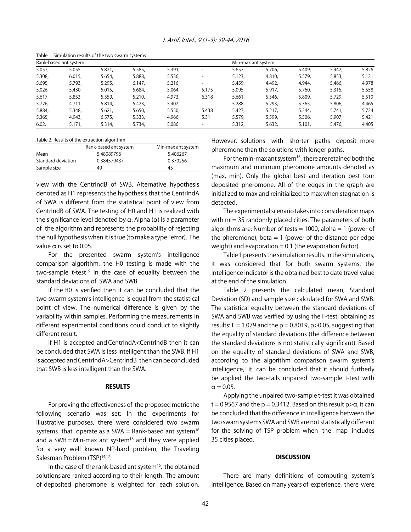| Table 1. Simulation results of the two swami systems |        |        |        |        |                          |        |                    |        |        |       |  |
|------------------------------------------------------|--------|--------|--------|--------|--------------------------|--------|--------------------|--------|--------|-------|--|
| Rank-based ant system                                |        |        |        |        |                          |        | Min-max ant system |        |        |       |  |
| 5.057,                                               | 5.055, | 5.821, | 5.585, | 5.391, | $\overline{\phantom{0}}$ | 5.657. | 5.706.             | 5.409, | 5.442. | 5.826 |  |
| 5.308,                                               | 6.015, | 5.654, | 5.888, | 5.536, |                          | 5.123, | 4.810.             | 5.579, | 5.853, | 5.121 |  |
| 5.695,                                               | 5.793, | 5.295, | 6.147. | 5.216. |                          | 5.459. | 4.492.             | 4.944. | 5.466. | 4.978 |  |
| 5.026,                                               | 5.430, | 5.015, | 5.684, | 5.064. | 5.175                    | 5.095, | 5.917.             | 5.760. | 5.315, | 5.558 |  |
| 5.617,                                               | 5.853, | 5.359, | 5.210, | 4.973. | 6.318                    | 5.661, | 5.546.             | 5.809, | 5.729. | 5.519 |  |
| 5.726,                                               | 4.711, | 5.814, | 5.423, | 5.402, |                          | 5.288, | 5.293,             | 5.365, | 5.806, | 4.465 |  |
| 5.884,                                               | 5.348. | 5.621, | 5.650. | 5.550, | 5.438                    | 5.427. | 5.217.             | 5.244. | 5.741. | 5.724 |  |
| 5.365,                                               | 4.943. | 6.575, | 5.333, | 4.966, | 5.31                     | 5.579. | 5.599,             | 5.506, | 5.907, | 5.421 |  |
| 6.02,                                                | 5.171, | 5.314, | 5.734, | 5.086  |                          | 5.312, | 5.632,             | 5.101, | 5.476, | 4.405 |  |
|                                                      |        |        |        |        |                          |        |                    |        |        |       |  |

Table 1: Simulation results of the two swarm systems

Table 2: Results of the extraction algorithm

|                    | Rank-based ant system | Min-max ant system |
|--------------------|-----------------------|--------------------|
| Mean               | 5.48089796            | 5.406267           |
| Standard deviation | 0.384579437           | 0.370256           |
| Sample size        | 49                    | 45                 |

view with the CentrIndB of SWB. Alternative hypothesis denoted as H1 represents the hypothesis that the CentrIndA of SWA is different from the statistical point of view from CentrIndB of SWA. The testing of H0 and H1 is realized with the significance level denoted by  $\alpha$ . Alpha ( $\alpha$ ) is a parameter of the algorithm and represents the probability of rejecting the null hypothesis when it is true (to make a type I error). The value  $\alpha$  is set to 0.05.

For the presented swarm system's intelligence comparison algorithm, the H0 testing is made with the two-sample t-test<sup>15</sup> in the case of equality between the standard deviations of SWA and SWB.

If the H0 is verified then it can be concluded that the two swarm system's intelligence is equal from the statistical point of view. The numerical difference is given by the variability within samples. Performing the measurements in different experimental conditions could conduct to slightly different result.

If H1 is accepted and CentrIndA<CentrIndB then it can be concluded that SWA is less intelligent than the SWB. If H1 is accepted and CentrIndA>CentrIndB then can be concluded that SWB is less intelligent than the SWA.

#### RESULTS

For proving the effectiveness of the proposed metric the following scenario was set: In the experiments for illustrative purposes, there were considered two swarm systems that operate as a SWA = Rank-based ant system<sup>16</sup> and a SWB = Min-max ant system<sup>16</sup> and they were applied for a very well known NP-hard problem, the Traveling Salesman Problem (TSP)<sup>14,17</sup>.

In the case of the rank-based ant system<sup>16</sup>, the obtained solutions are ranked according to their length. The amount of deposited pheromone is weighted for each solution. However, solutions with shorter paths deposit more pheromone than the solutions with longer paths.

For the min-max ant system<sup>16</sup>, there are retained both the maximum and minimum pheromone amounts denoted as (max, min). Only the global best and iteration best tour deposited pheromone. All of the edges in the graph are initialized to max and reinitialized to max when stagnation is detected.

The experimental scenario takes into consideration maps with nr = 35 randomly placed cities. The parameters of both algorithms are: Number of tests  $= 1000$ , alpha  $= 1$  (power of the pheromone), beta  $= 1$  (power of the distance per edge weight) and evaporation  $= 0.1$  (the evaporation factor).

Table 1 presents the simulation results. In the simulations, it was considered that for both swarm systems, the intelligence indicator is the obtained best to date travel value at the end of the simulation.

Table 2 presents the calculated mean, Standard Deviation (SD) and sample size calculated for SWA and SWB. The statistical equality between the standard deviations of SWA and SWB was verified by using the F-test, obtaining as results:  $F = 1.079$  and the  $p = 0.8019$ ,  $p > 0.05$ , suggesting that the equality of standard deviations (the difference between the standard deviations is not statistically significant). Based on the equality of standard deviations of SWA and SWB, according to the algorithm comparison swarm system's intelligence, it can be concluded that it should furtherly be applied the two-tails unpaired two-sample t-test with  $\alpha = 0.05$ .

Applying the unpaired two-sample t-test it was obtained  $t = 0.9567$  and the  $p = 0.3412$ . Based on this result  $p > \alpha$ , it can be concluded that the difference in intelligence between the two swam systems SWA and SWB are not statistically different for the solving of TSP problem when the map includes 35 cities placed.

#### **DISCUSSION**

There are many definitions of computing system's intelligence. Based on many years of experience, there were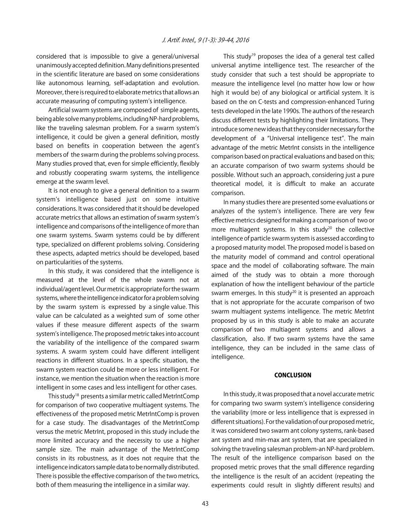considered that is impossible to give a general/universal unanimously accepted definition. Many definitions presented in the scientific literature are based on some considerations like autonomous learning, self-adaptation and evolution. Moreover, there is required to elaborate metrics that allows an accurate measuring of computing system's intelligence.

Artificial swarm systems are composed of simple agents, being able solve many problems, including NP-hard problems, like the traveling salesman problem. For a swarm system's intelligence, it could be given a general definition, mostly based on benefits in cooperation between the agent's members of the swarm during the problems solving process. Many studies proved that, even for simple efficiently, flexibly and robustly cooperating swarm systems, the intelligence emerge at the swarm level.

It is not enough to give a general definition to a swarm system's intelligence based just on some intuitive considerations. It was considered that it should be developed accurate metrics that allows an estimation of swarm system's intelligence and comparisons of the intelligence of more than one swarm systems. Swarm systems could be by different type, specialized on different problems solving. Considering these aspects, adapted metrics should be developed, based on particularities of the systems.

In this study, it was considered that the intelligence is measured at the level of the whole swarm not at individual/agent level. Our metric is appropriate for the swarm systems, where the intelligence indicator for a problem solving by the swarm system is expressed by a single value. This value can be calculated as a weighted sum of some other values if these measure different aspects of the swarm system's intelligence. The proposed metric takes into account the variability of the intelligence of the compared swarm systems. A swarm system could have different intelligent reactions in different situations. In a specific situation, the swarm system reaction could be more or less intelligent. For instance, we mention the situation when the reaction is more intelligent in some cases and less intelligent for other cases.

This study18 presents a similar metric called MetrIntComp for comparison of two cooperative multiagent systems. The effectiveness of the proposed metric MetrIntComp is proven for a case study. The disadvantages of the MetrIntComp versus the metric MetrInt, proposed in this study include the more limited accuracy and the necessity to use a higher sample size. The main advantage of the MetrintComp consists in its robustness, as it does not require that the intelligence indicators sample data to be normally distributed. There is possible the effective comparison of the two metrics, both of them measuring the intelligence in a similar way.

This study<sup>19</sup> proposes the idea of a general test called universal anytime intelligence test. The researcher of the study consider that such a test should be appropriate to measure the intelligence level (no matter how low or how high it would be) of any biological or artificial system. It is based on the on C-tests and compression-enhanced Turing tests developed in the late 1990s. The authors of the research discuss different tests by highlighting their limitations. They introduce some new ideas that they consider necessary for the development of a "Universal intelligence test". The main advantage of the metric MetrInt consists in the intelligence comparison based on practical evaluations and based on this; an accurate comparison of two swarm systems should be possible. Without such an approach, considering just a pure theoretical model, it is difficult to make an accurate comparison.

In many studies there are presented some evaluations or analyzes of the system's intelligence. There are very few effective metrics designed for making a comparison of two or more multiagent systems. In this study<sup>20</sup> the collective intelligence of particle swarm system is assessed according to a proposed maturity model. The proposed model is based on the maturity model of command and control operational space and the model of collaborating software. The main aimed of the study was to obtain a more thorough explanation of how the intelligent behaviour of the particle swarm emerges. In this study<sup>20</sup> it is presented an approach that is not appropriate for the accurate comparison of two swarm multiagent systems intelligence. The metric MetrInt proposed by us in this study is able to make an accurate comparison of two multiagent systems and allows a classification, also. If two swarm systems have the same intelligence, they can be included in the same class of intelligence.

#### **CONCLUSION**

In this study, it was proposed that a novel accurate metric for comparing two swarm system's intelligence considering the variability (more or less intelligence that is expressed in different situations). For the validation of our proposed metric, it was considered two swarm ant colony systems, rank-based ant system and min-max ant system, that are specialized in solving the traveling salesman problem-an NP-hard problem. The result of the intelligence comparison based on the proposed metric proves that the small difference regarding the intelligence is the result of an accident (repeating the experiments could result in slightly different results) and